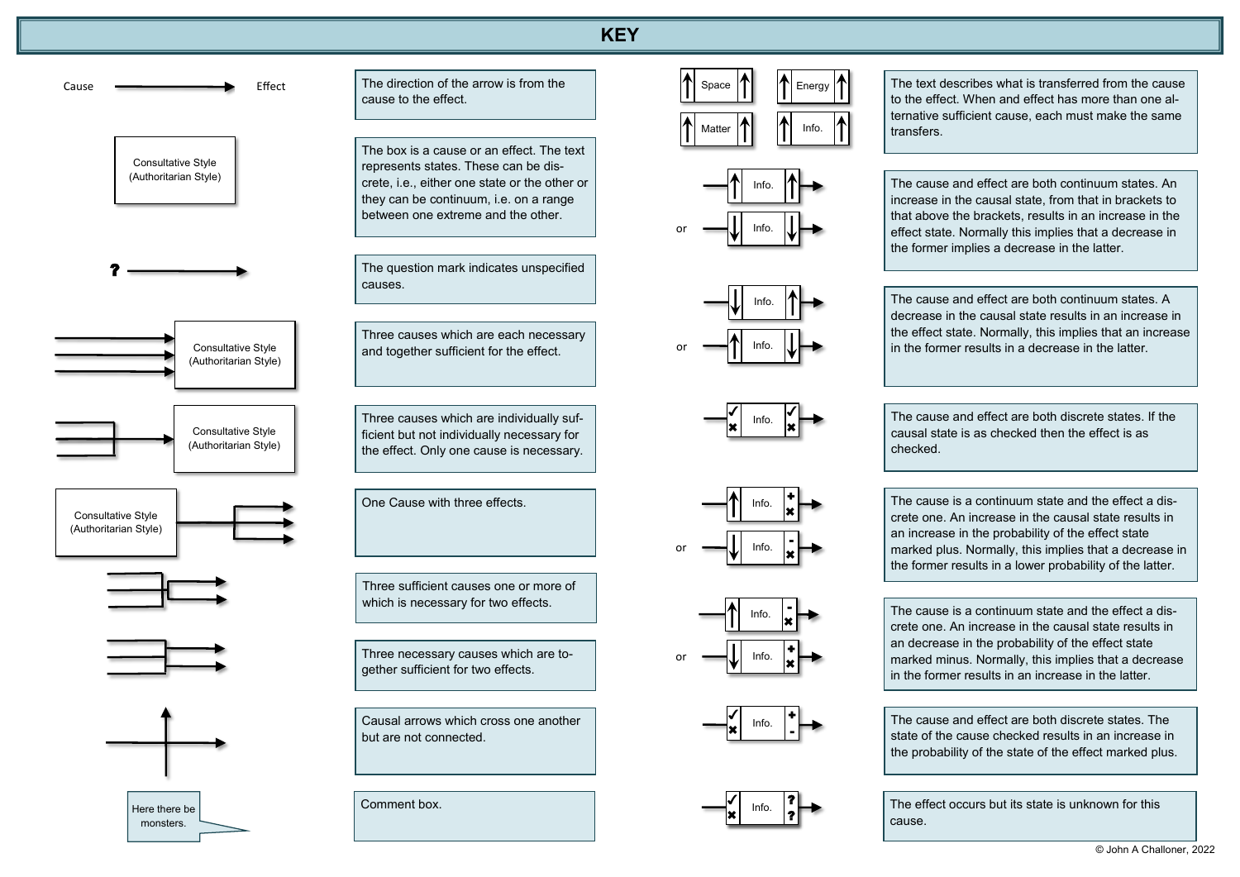

The direction of the arrow is from the cause to the effect.

The box is a cause or an effect. The text represents states. These can be discrete, i.e., either one state or the other or they can be continuum, i.e. on a range between one extreme and the other.

The question mark indicates unspecified causes.

Three causes which are each necessary and together sufficient for the effect.

Info.  $\left|\uparrow\right\vert$  The cause and effect are both continuum states. An increase in the causal state, from that in brackets to that above the brackets, results in an increase in the effect state. Normally this implies that a decrease in the former implies a decrease in the latter.

Three causes which are individually sufficient but not individually necessary for the effect. Only one cause is necessary.

Info.  $\left|\uparrow\right|$   $\longrightarrow$  The cause and effect are both continuum states. A decrease in the causal state results in an increase in the effect state. Normally, this implies that an increase in the former results in a decrease in the latter.

+ ×l

×I

One Cause with three effects.

Causal arrows which cross one another but are not connected.

> $\ddot{\bullet}$

> $\overline{\mathcal{L}}$  $\star$



Info.

+ ×I

The cause and effect are both discrete states. If the causal state is as checked then the effect is as

checked.

Info.

-

×I

The cause is a continuum state and the effect a discrete one. An increase in the causal state results in an increase in the probability of the effect state marked plus. Normally, this implies that a decrease in the former results in a lower probability of the latter.

The cause and effect are both discrete states. The state of the cause checked results in an increase in the probability of the state of the effect marked plus.

Info. ?

Info.  $\int_{a}^{b}$ 

 $\overline{\checkmark}$  $\star$ 

?

The effect occurs but its state is unknown for this

cause.

?

 $\overline{\bm{J}}$  $\star$ 



Info.

The text describes what is transferred from the cause to the effect. When and effect has more than one alternative sufficient cause, each must make the same transfers.

Three necessary causes which are together sufficient for two effects.

Comment box.

Three sufficient causes one or more of which is necessary for two effects.

The cause is a continuum state and the effect a discrete one. An increase in the causal state results in an decrease in the probability of the effect state marked minus. Normally, this implies that a decrease in the former results in an increase in the latter.



Info.

or

or

Info. -

 $Info.$ 

or

Info.

Info.  $|\cdot|$ 

or

×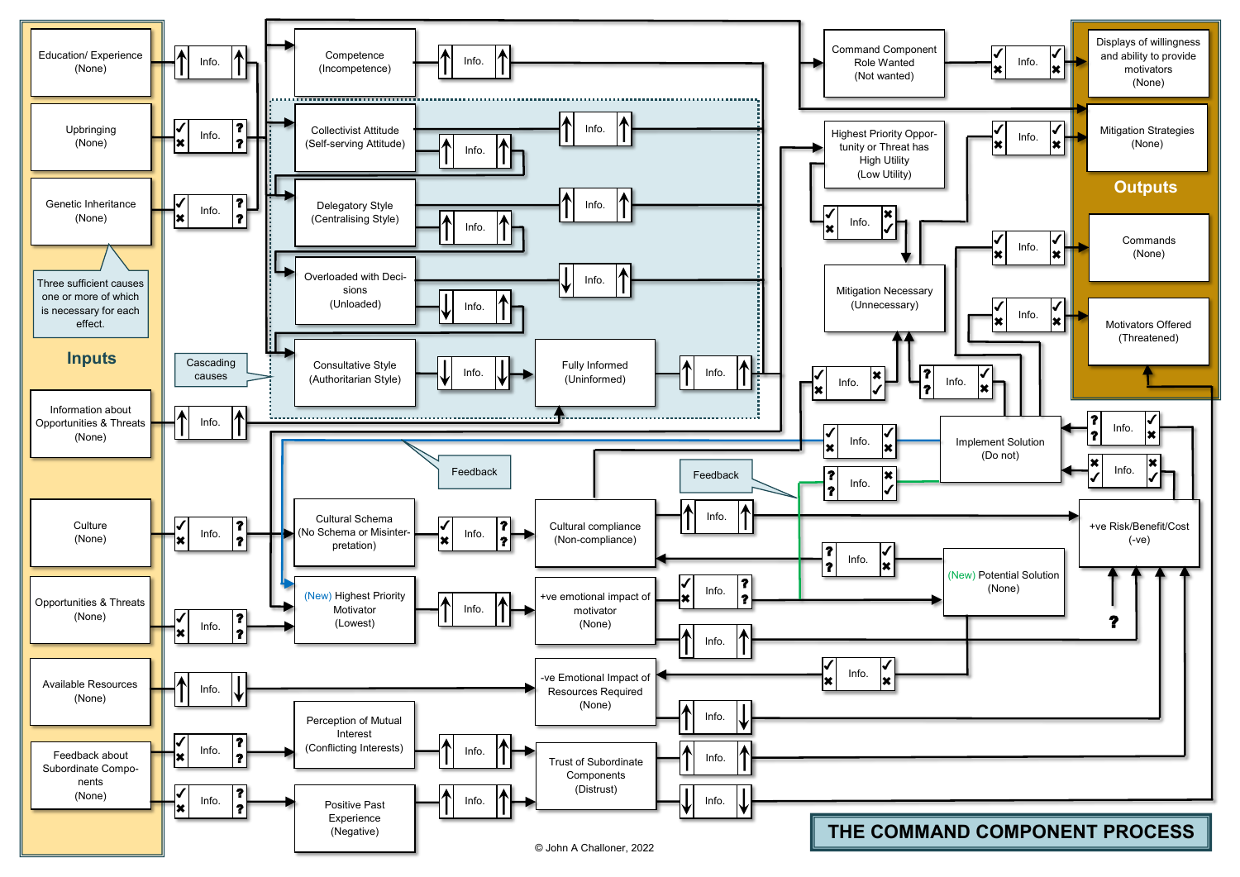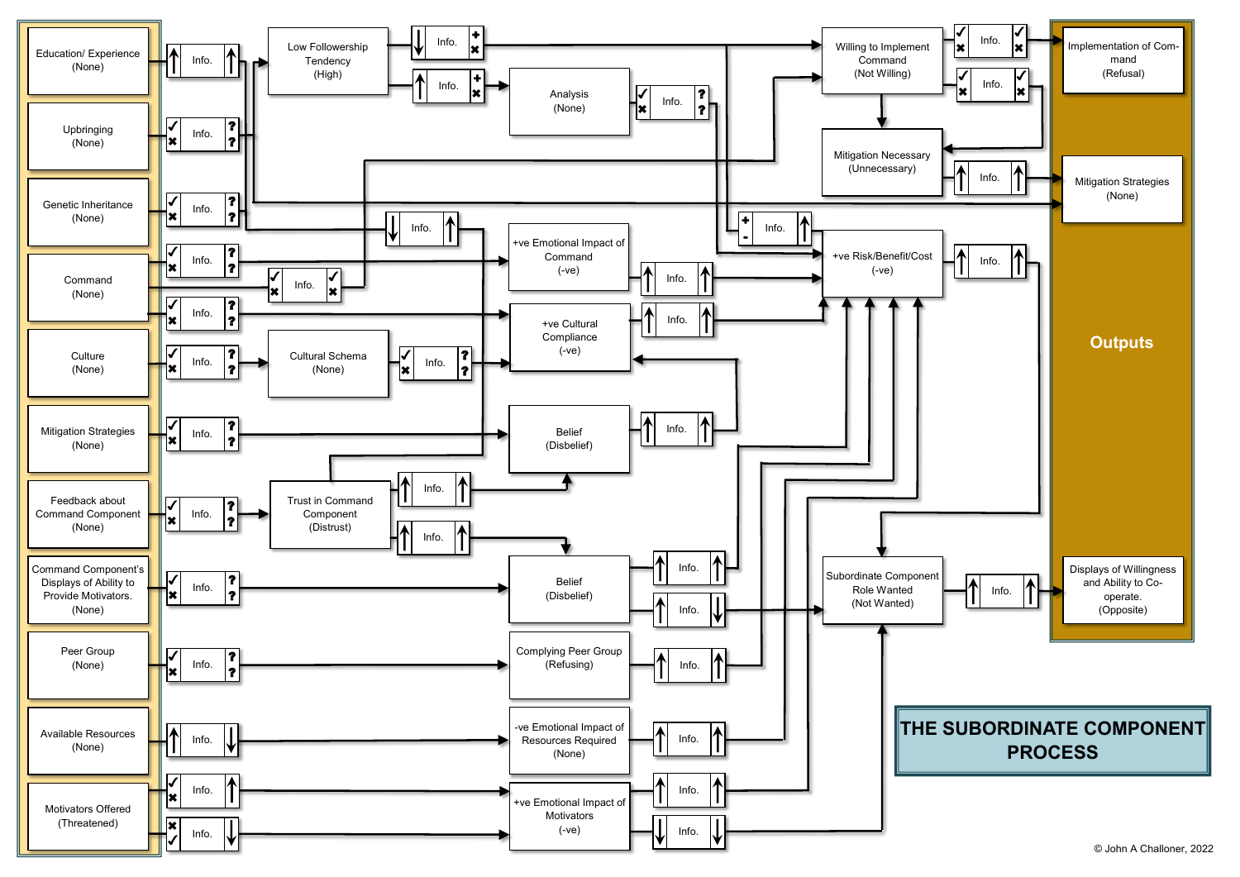